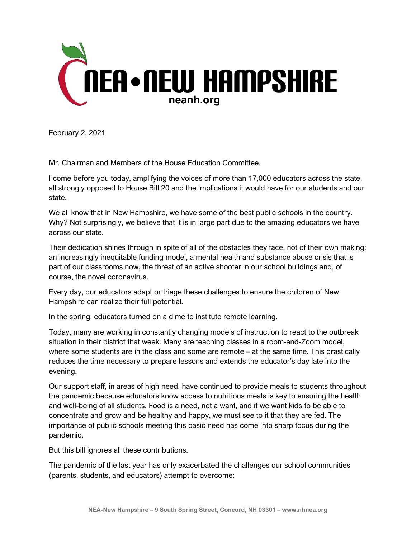

February 2, 2021

Mr. Chairman and Members of the House Education Committee,

I come before you today, amplifying the voices of more than 17,000 educators across the state, all strongly opposed to House Bill 20 and the implications it would have for our students and our state.

We all know that in New Hampshire, we have some of the best public schools in the country. Why? Not surprisingly, we believe that it is in large part due to the amazing educators we have across our state.

Their dedication shines through in spite of all of the obstacles they face, not of their own making: an increasingly inequitable funding model, a mental health and substance abuse crisis that is part of our classrooms now, the threat of an active shooter in our school buildings and, of course, the novel coronavirus.

Every day, our educators adapt or triage these challenges to ensure the children of New Hampshire can realize their full potential.

In the spring, educators turned on a dime to institute remote learning.

Today, many are working in constantly changing models of instruction to react to the outbreak situation in their district that week. Many are teaching classes in a room-and-Zoom model, where some students are in the class and some are remote – at the same time. This drastically reduces the time necessary to prepare lessons and extends the educator's day late into the evening.

Our support staff, in areas of high need, have continued to provide meals to students throughout the pandemic because educators know access to nutritious meals is key to ensuring the health and well-being of all students. Food is a need, not a want, and if we want kids to be able to concentrate and grow and be healthy and happy, we must see to it that they are fed. The importance of public schools meeting this basic need has come into sharp focus during the pandemic.

But this bill ignores all these contributions.

The pandemic of the last year has only exacerbated the challenges our school communities (parents, students, and educators) attempt to overcome: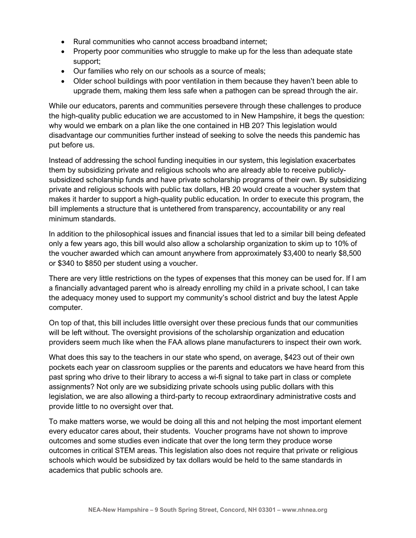- Rural communities who cannot access broadband internet;
- Property poor communities who struggle to make up for the less than adequate state support;
- Our families who rely on our schools as a source of meals;
- Older school buildings with poor ventilation in them because they haven't been able to upgrade them, making them less safe when a pathogen can be spread through the air.

While our educators, parents and communities persevere through these challenges to produce the high-quality public education we are accustomed to in New Hampshire, it begs the question: why would we embark on a plan like the one contained in HB 20? This legislation would disadvantage our communities further instead of seeking to solve the needs this pandemic has put before us.

Instead of addressing the school funding inequities in our system, this legislation exacerbates them by subsidizing private and religious schools who are already able to receive publiclysubsidized scholarship funds and have private scholarship programs of their own. By subsidizing private and religious schools with public tax dollars, HB 20 would create a voucher system that makes it harder to support a high-quality public education. In order to execute this program, the bill implements a structure that is untethered from transparency, accountability or any real minimum standards.

In addition to the philosophical issues and financial issues that led to a similar bill being defeated only a few years ago, this bill would also allow a scholarship organization to skim up to 10% of the voucher awarded which can amount anywhere from approximately \$3,400 to nearly \$8,500 or \$340 to \$850 per student using a voucher.

There are very little restrictions on the types of expenses that this money can be used for. If I am a financially advantaged parent who is already enrolling my child in a private school, I can take the adequacy money used to support my community's school district and buy the latest Apple computer.

On top of that, this bill includes little oversight over these precious funds that our communities will be left without. The oversight provisions of the scholarship organization and education providers seem much like when the FAA allows plane manufacturers to inspect their own work.

What does this say to the teachers in our state who spend, on average, \$423 out of their own pockets each year on classroom supplies or the parents and educators we have heard from this past spring who drive to their library to access a wi-fi signal to take part in class or complete assignments? Not only are we subsidizing private schools using public dollars with this legislation, we are also allowing a third-party to recoup extraordinary administrative costs and provide little to no oversight over that.

To make matters worse, we would be doing all this and not helping the most important element every educator cares about, their students. Voucher programs have not shown to improve outcomes and some studies even indicate that over the long term they produce worse outcomes in critical STEM areas. This legislation also does not require that private or religious schools which would be subsidized by tax dollars would be held to the same standards in academics that public schools are.